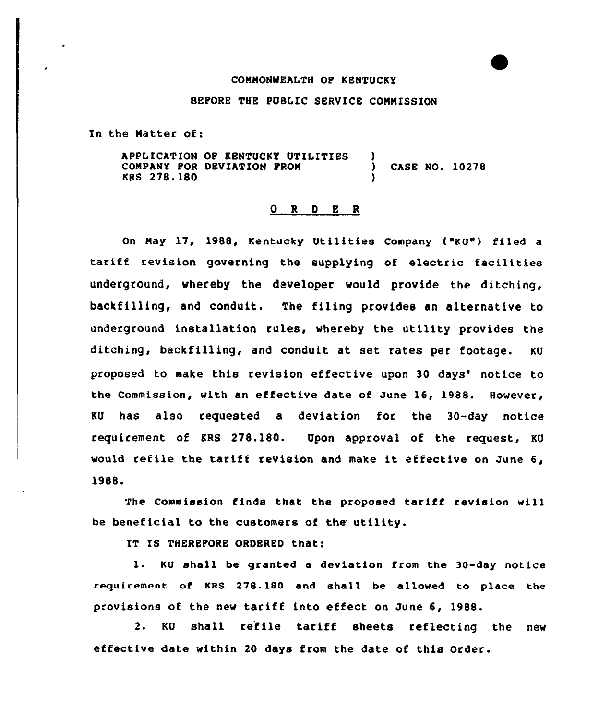## CONNONWEALTH OP KENTUCKY

## BEFORE THE PUBLIC SERVICE CONNISSION

In the Natter of:

APPLICATION OP KENTUCKY UTILITIES COMPANY POR DEVIATION PRON KRS 278. 180  $\frac{1}{1}$ ) CASe NO. 10278 )

## 0 R 9 E <sup>R</sup>

On Nay 17, 1988, Kentucky Utilities Company {"KU"} filed a tariff revision governing the supplying of electric facilities underground, whereby the developer would provide the ditching, backfilling, and conduit. The filing provides an alternative to underground installation rules, whereby the utility provides the ditching, backfilling, and conduit at set rates per footage. KU proposed to make this revision effective upon 30 days' notice to the Commission, with an effective date of June 16, 1988. However, KU has also requested a deviation for the 30-day notice requirement of KRS 278.180. Upon approval of the request, KU would refile the tariff revision and make it effective on June 6, 1988.

The Commission finds that the proposed tariff revision will be beneficial to the customers of the utility.

IT IS THEREFORE ORDERED that:

1. KU shall be granted <sup>a</sup> deviation from the 30-day notice reguirement of KRS 278.180 and shall be allowed to place the provisions of the new tariff into effect on June 6, 1988.

2. KU shall refile tariff sheets reflecting the new effective date within 20 days from the date of this Order.